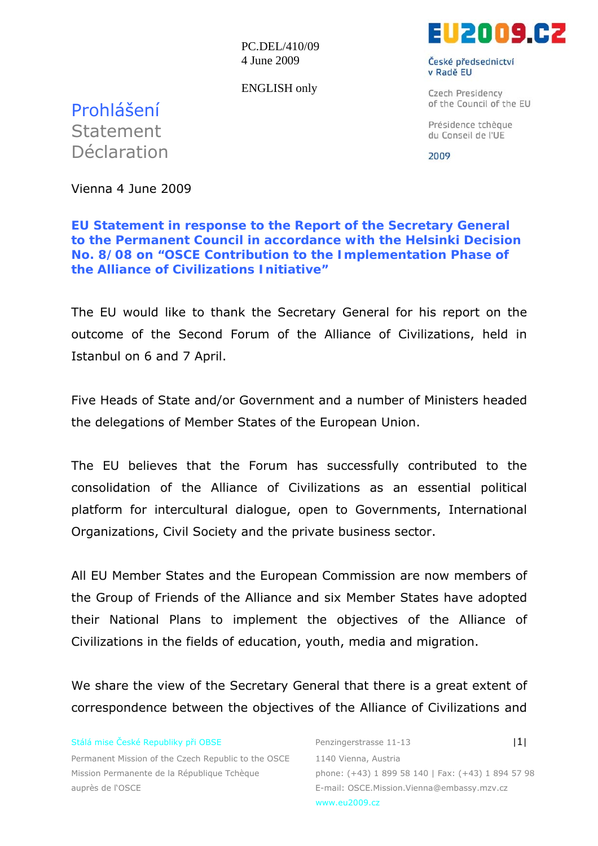PC.DEL/410/09 4 June 2009

ENGLISH only



České předsednictví v Radě EU

Czech Presidency of the Council of the EU

Présidence tchèque du Conseil de l'UE

2009

Prohlášení Statement Déclaration

Vienna 4 June 2009

**EU Statement in response to the Report of the Secretary General to the Permanent Council in accordance with the Helsinki Decision No. 8/08 on "OSCE Contribution to the Implementation Phase of the Alliance of Civilizations Initiative"** 

The EU would like to thank the Secretary General for his report on the outcome of the Second Forum of the Alliance of Civilizations, held in Istanbul on 6 and 7 April.

Five Heads of State and/or Government and a number of Ministers headed the delegations of Member States of the European Union.

The EU believes that the Forum has successfully contributed to the consolidation of the Alliance of Civilizations as an essential political platform for intercultural dialogue, open to Governments, International Organizations, Civil Society and the private business sector.

All EU Member States and the European Commission are now members of the Group of Friends of the Alliance and six Member States have adopted their National Plans to implement the objectives of the Alliance of Civilizations in the fields of education, youth, media and migration.

We share the view of the Secretary General that there is a great extent of correspondence between the objectives of the Alliance of Civilizations and

Stálá mise České Republiky při OBSE Penzingerstrasse 11-13 **II** 

Permanent Mission of the Czech Republic to the OSCE 1140 Vienna, Austria Mission Permanente de la République Tchèque phone: (+43) 1 899 58 140 | Fax: (+43) 1 894 57 98 auprès de l'OSCE e-mail: OSCE.Mission.Vienna@embassy.mzv.cz

www.eu2009.cz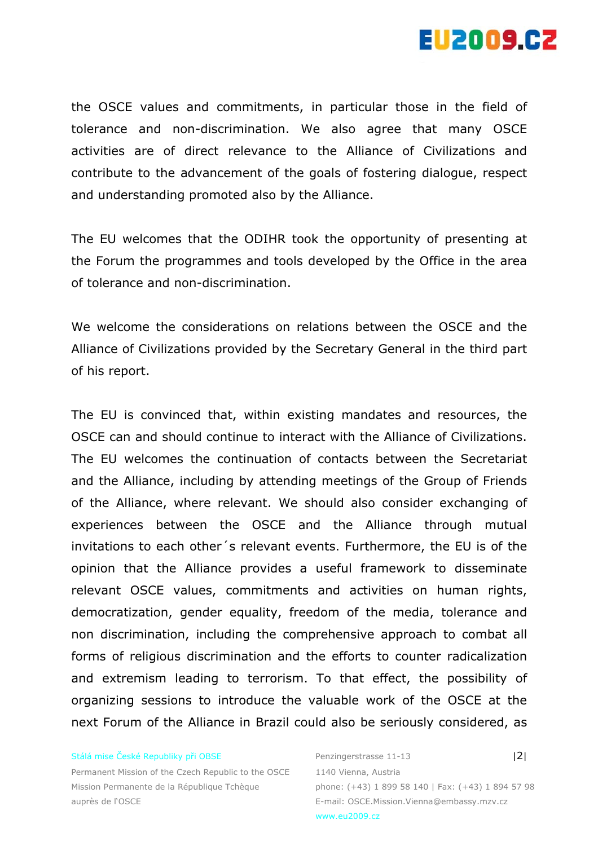

the OSCE values and commitments, in particular those in the field of tolerance and non-discrimination. We also agree that many OSCE activities are of direct relevance to the Alliance of Civilizations and contribute to the advancement of the goals of fostering dialogue, respect and understanding promoted also by the Alliance.

The EU welcomes that the ODIHR took the opportunity of presenting at the Forum the programmes and tools developed by the Office in the area of tolerance and non-discrimination.

We welcome the considerations on relations between the OSCE and the Alliance of Civilizations provided by the Secretary General in the third part of his report.

The EU is convinced that, within existing mandates and resources, the OSCE can and should continue to interact with the Alliance of Civilizations. The EU welcomes the continuation of contacts between the Secretariat and the Alliance, including by attending meetings of the Group of Friends of the Alliance, where relevant. We should also consider exchanging of experiences between the OSCE and the Alliance through mutual invitations to each other´s relevant events. Furthermore, the EU is of the opinion that the Alliance provides a useful framework to disseminate relevant OSCE values, commitments and activities on human rights, democratization, gender equality, freedom of the media, tolerance and non discrimination, including the comprehensive approach to combat all forms of religious discrimination and the efforts to counter radicalization and extremism leading to terrorism. To that effect, the possibility of organizing sessions to introduce the valuable work of the OSCE at the next Forum of the Alliance in Brazil could also be seriously considered, as

## Stálá mise České Republiky při OBSE Penzingerstrasse 11-13 |2|

Permanent Mission of the Czech Republic to the OSCE 1140 Vienna, Austria Mission Permanente de la République Tchèque phone: (+43) 1 899 58 140 | Fax: (+43) 1 894 57 98 auprès de l'OSCE et a controlle de la controlle de la controlle de la controlle de la controlle de la controlle

www.eu2009.cz